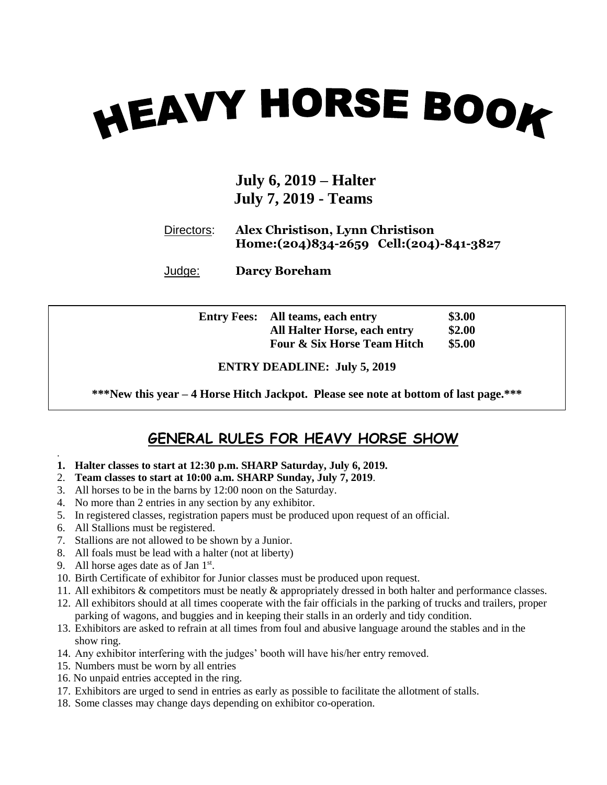# **HEAVY HORSE BOOK**

#### **July 6, 2019 – Halter July 7, 2019 - Teams**

#### Directors: **Alex Christison, Lynn Christison Home:(204)834-2659 Cell:(204)-841-3827**

Judge: **Darcy Boreham**

| <b>Entry Fees:</b> | All teams, each entry                  | \$3.00 |
|--------------------|----------------------------------------|--------|
|                    | <b>All Halter Horse, each entry</b>    | \$2.00 |
|                    | <b>Four &amp; Six Horse Team Hitch</b> | \$5.00 |

**ENTRY DEADLINE: July 5, 2019**

**\*\*\*New this year – 4 Horse Hitch Jackpot. Please see note at bottom of last page.\*\*\***

#### **GENERAL RULES FOR HEAVY HORSE SHOW**

- **1. Halter classes to start at 12:30 p.m. SHARP Saturday, July 6, 2019.**
- 2. **Team classes to start at 10:00 a.m. SHARP Sunday, July 7, 2019**.
- 3. All horses to be in the barns by 12:00 noon on the Saturday.
- 4. No more than 2 entries in any section by any exhibitor.
- 5. In registered classes, registration papers must be produced upon request of an official.
- 6. All Stallions must be registered.

.

- 7. Stallions are not allowed to be shown by a Junior.
- 8. All foals must be lead with a halter (not at liberty)
- 9. All horse ages date as of Jan 1st.
- 10. Birth Certificate of exhibitor for Junior classes must be produced upon request.
- 11. All exhibitors & competitors must be neatly & appropriately dressed in both halter and performance classes.
- 12. All exhibitors should at all times cooperate with the fair officials in the parking of trucks and trailers, proper parking of wagons, and buggies and in keeping their stalls in an orderly and tidy condition.
- 13. Exhibitors are asked to refrain at all times from foul and abusive language around the stables and in the show ring.
- 14. Any exhibitor interfering with the judges' booth will have his/her entry removed.
- 15. Numbers must be worn by all entries
- 16. No unpaid entries accepted in the ring.
- 17. Exhibitors are urged to send in entries as early as possible to facilitate the allotment of stalls.
- 18. Some classes may change days depending on exhibitor co-operation.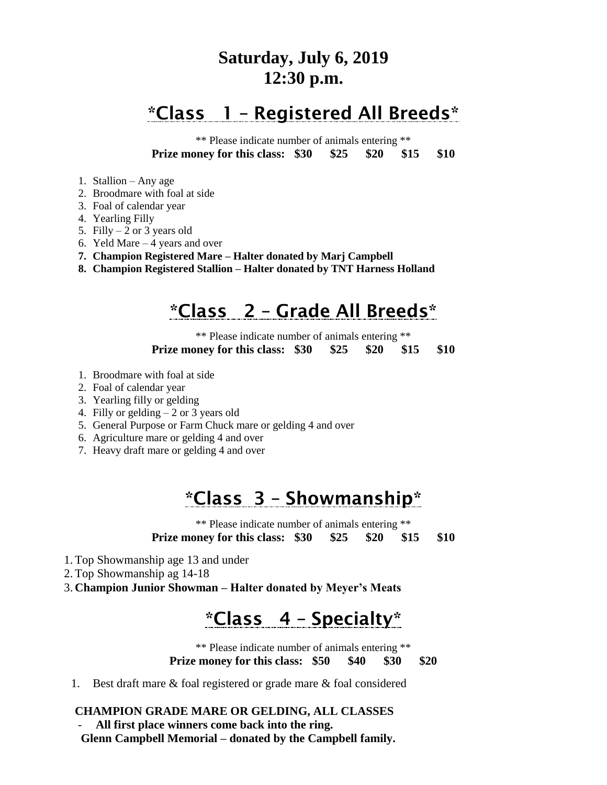#### **Saturday, July 6, 2019 12:30 p.m.**

## \*Class 1 – Registered All Breeds\*

\*\* Please indicate number of animals entering \*\* **Prize money for this class: \$30 \$25 \$20 \$15 \$10**

- 1. Stallion Any age
- 2. Broodmare with foal at side
- 3. Foal of calendar year
- 4. Yearling Filly
- 5. Filly  $-2$  or 3 years old
- 6. Yeld Mare 4 years and over
- **7. Champion Registered Mare – Halter donated by Marj Campbell**
- **8. Champion Registered Stallion – Halter donated by TNT Harness Holland**

# \*Class 2 – Grade All Breeds\*

\*\* Please indicate number of animals entering \*\* **Prize money for this class: \$30 \$25 \$20 \$15 \$10**

- 1. Broodmare with foal at side
- 2. Foal of calendar year
- 3. Yearling filly or gelding
- 4. Filly or gelding 2 or 3 years old
- 5. General Purpose or Farm Chuck mare or gelding 4 and over
- 6. Agriculture mare or gelding 4 and over
- 7. Heavy draft mare or gelding 4 and over

### \*Class 3 – Showmanship\*

\*\* Please indicate number of animals entering \*\* **Prize money for this class: \$30 \$25 \$20 \$15 \$10**

- 1. Top Showmanship age 13 and under
- 2. Top Showmanship ag 14-18
- 3. **Champion Junior Showman – Halter donated by Meyer's Meats**

# \*Class 4 – Specialty\*

\*\* Please indicate number of animals entering \*\*

**Prize money for this class: \$50 \$40 \$30 \$20**

1. Best draft mare & foal registered or grade mare & foal considered

#### **CHAMPION GRADE MARE OR GELDING, ALL CLASSES**

- **All first place winners come back into the ring.**

 **Glenn Campbell Memorial – donated by the Campbell family.**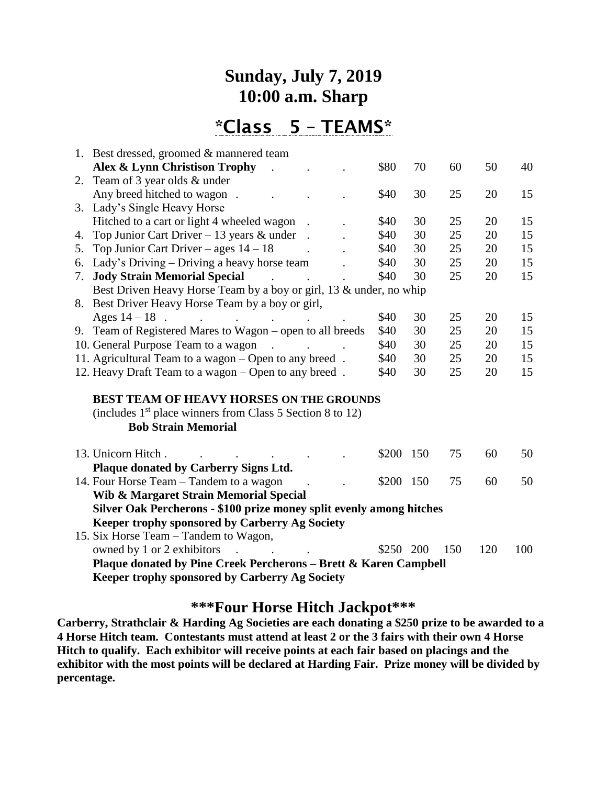#### **Sunday, July 7, 2019 10:00 a.m. Sharp**

\*Class 5 – TEAMS\*

| 1. Best dressed, groomed & mannered team                                                                         |           |     |     |     |     |
|------------------------------------------------------------------------------------------------------------------|-----------|-----|-----|-----|-----|
| Alex & Lynn Christison Trophy                                                                                    | \$80      | 70  | 60  | 50  | 40  |
| 2. Team of 3 year olds & under                                                                                   |           |     |     |     |     |
| Any breed hitched to wagon.<br>$\sim$ $\sim$                                                                     | \$40      | 30  | 25  | 20  | 15  |
| 3. Lady's Single Heavy Horse                                                                                     |           |     |     |     |     |
| Hitched to a cart or light 4 wheeled wagon                                                                       | \$40      | 30  | 25  | 20  | 15  |
| Top Junior Cart Driver – 13 years $&$ under<br>4.                                                                | \$40      | 30  | 25  | 20  | 15  |
| Top Junior Cart Driver – ages $14 - 18$<br>5.                                                                    | \$40      | 30  | 25  | 20  | 15  |
| 6. Lady's Driving – Driving a heavy horse team                                                                   | \$40      | 30  | 25  | 20  | 15  |
| <b>Jody Strain Memorial Special</b><br>7.<br>$\mathcal{L}$                                                       | \$40      | 30  | 25  | 20  | 15  |
| Best Driven Heavy Horse Team by a boy or girl, 13 & under, no whip                                               |           |     |     |     |     |
| 8. Best Driver Heavy Horse Team by a boy or girl,                                                                |           |     |     |     |     |
| Ages $14 - 18$ .<br>and the contract of the contract of                                                          | \$40      | 30  | 25  | 20  | 15  |
| 9. Team of Registered Mares to Wagon - open to all breeds                                                        | \$40      | 30  | 25  | 20  | 15  |
| 10. General Purpose Team to a wagon<br>$\sim$<br>$\mathbf{r}$ and $\mathbf{r}$ and $\mathbf{r}$ and $\mathbf{r}$ | \$40      | 30  | 25  | 20  | 15  |
| 11. Agricultural Team to a wagon - Open to any breed.                                                            | \$40      | 30  | 25  | 20  | 15  |
| 12. Heavy Draft Team to a wagon – Open to any breed.                                                             | \$40      | 30  | 25  | 20  | 15  |
| <b>BEST TEAM OF HEAVY HORSES ON THE GROUNDS</b>                                                                  |           |     |     |     |     |
| (includes 1 <sup>st</sup> place winners from Class 5 Section 8 to 12)                                            |           |     |     |     |     |
| <b>Bob Strain Memorial</b>                                                                                       |           |     |     |     |     |
|                                                                                                                  |           |     |     |     |     |
| 13. Unicorn Hitch.                                                                                               | \$200     | 150 | 75  | 60  | 50  |
| Plaque donated by Carberry Signs Ltd.                                                                            |           |     |     |     |     |
| 14. Four Horse Team – Tandem to a wagon                                                                          | \$200     | 150 | 75  | 60  | 50  |
| Wib & Margaret Strain Memorial Special                                                                           |           |     |     |     |     |
| Silver Oak Percherons - \$100 prize money split evenly among hitches                                             |           |     |     |     |     |
| Keeper trophy sponsored by Carberry Ag Society                                                                   |           |     |     |     |     |
| 15. Six Horse Team – Tandem to Wagon,                                                                            |           |     |     |     |     |
| owned by 1 or 2 exhibitors                                                                                       | \$250 200 |     | 150 | 120 | 100 |
| Plaque donated by Pine Creek Percherons - Brett & Karen Campbell                                                 |           |     |     |     |     |
| <b>Keeper trophy sponsored by Carberry Ag Society</b>                                                            |           |     |     |     |     |

#### **\*\*\*Four Horse Hitch Jackpot\*\*\***

**Carberry, Strathclair & Harding Ag Societies are each donating a \$250 prize to be awarded to a 4 Horse Hitch team. Contestants must attend at least 2 or the 3 fairs with their own 4 Horse Hitch to qualify. Each exhibitor will receive points at each fair based on placings and the exhibitor with the most points will be declared at Harding Fair. Prize money will be divided by percentage.**